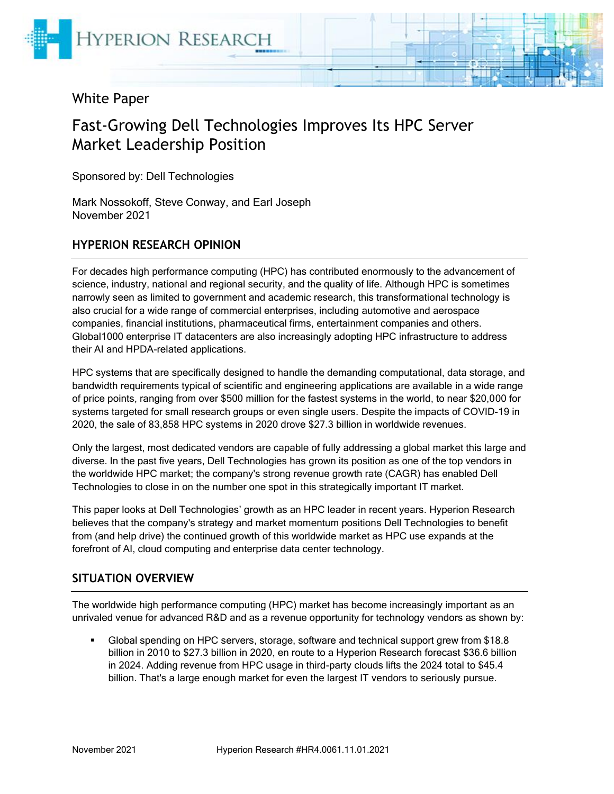

# White Paper

# Fast-Growing Dell Technologies Improves Its HPC Server Market Leadership Position

Sponsored by: Dell Technologies

Mark Nossokoff, Steve Conway, and Earl Joseph November 2021

#### **HYPERION RESEARCH OPINION**

For decades high performance computing (HPC) has contributed enormously to the advancement of science, industry, national and regional security, and the quality of life. Although HPC is sometimes narrowly seen as limited to government and academic research, this transformational technology is also crucial for a wide range of commercial enterprises, including automotive and aerospace companies, financial institutions, pharmaceutical firms, entertainment companies and others. Global1000 enterprise IT datacenters are also increasingly adopting HPC infrastructure to address their AI and HPDA-related applications.

HPC systems that are specifically designed to handle the demanding computational, data storage, and bandwidth requirements typical of scientific and engineering applications are available in a wide range of price points, ranging from over \$500 million for the fastest systems in the world, to near \$20,000 for systems targeted for small research groups or even single users. Despite the impacts of COVID-19 in 2020, the sale of 83,858 HPC systems in 2020 drove \$27.3 billion in worldwide revenues.

Only the largest, most dedicated vendors are capable of fully addressing a global market this large and diverse. In the past five years, Dell Technologies has grown its position as one of the top vendors in the worldwide HPC market; the company's strong revenue growth rate (CAGR) has enabled Dell Technologies to close in on the number one spot in this strategically important IT market.

This paper looks at Dell Technologies' growth as an HPC leader in recent years. Hyperion Research believes that the company's strategy and market momentum positions Dell Technologies to benefit from (and help drive) the continued growth of this worldwide market as HPC use expands at the forefront of AI, cloud computing and enterprise data center technology.

#### **SITUATION OVERVIEW**

The worldwide high performance computing (HPC) market has become increasingly important as an unrivaled venue for advanced R&D and as a revenue opportunity for technology vendors as shown by:

Global spending on HPC servers, storage, software and technical support grew from \$18.8 billion in 2010 to \$27.3 billion in 2020, en route to a Hyperion Research forecast \$36.6 billion in 2024. Adding revenue from HPC usage in third-party clouds lifts the 2024 total to \$45.4 billion. That's a large enough market for even the largest IT vendors to seriously pursue.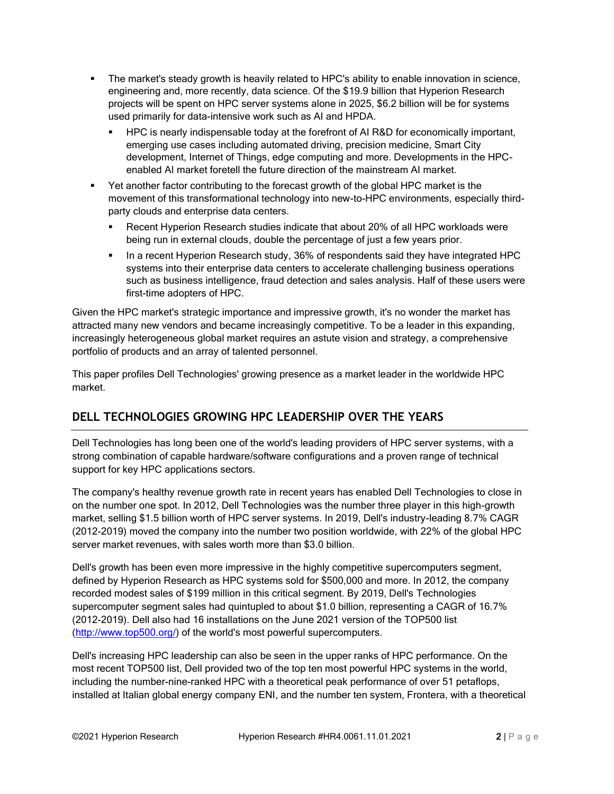- **•** The market's steady growth is heavily related to HPC's ability to enable innovation in science, engineering and, more recently, data science. Of the \$19.9 billion that Hyperion Research projects will be spent on HPC server systems alone in 2025, \$6.2 billion will be for systems used primarily for data-intensive work such as AI and HPDA.
	- HPC is nearly indispensable today at the forefront of AI R&D for economically important, emerging use cases including automated driving, precision medicine, Smart City development, Internet of Things, edge computing and more. Developments in the HPCenabled AI market foretell the future direction of the mainstream AI market.
- **•** Yet another factor contributing to the forecast growth of the global HPC market is the movement of this transformational technology into new-to-HPC environments, especially thirdparty clouds and enterprise data centers.
	- Recent Hyperion Research studies indicate that about 20% of all HPC workloads were being run in external clouds, double the percentage of just a few years prior.
	- **.** In a recent Hyperion Research study, 36% of respondents said they have integrated HPC systems into their enterprise data centers to accelerate challenging business operations such as business intelligence, fraud detection and sales analysis. Half of these users were first-time adopters of HPC.

Given the HPC market's strategic importance and impressive growth, it's no wonder the market has attracted many new vendors and became increasingly competitive. To be a leader in this expanding, increasingly heterogeneous global market requires an astute vision and strategy, a comprehensive portfolio of products and an array of talented personnel.

This paper profiles Dell Technologies' growing presence as a market leader in the worldwide HPC market.

# **DELL TECHNOLOGIES GROWING HPC LEADERSHIP OVER THE YEARS**

Dell Technologies has long been one of the world's leading providers of HPC server systems, with a strong combination of capable hardware/software configurations and a proven range of technical support for key HPC applications sectors.

The company's healthy revenue growth rate in recent years has enabled Dell Technologies to close in on the number one spot. In 2012, Dell Technologies was the number three player in this high-growth market, selling \$1.5 billion worth of HPC server systems. In 2019, Dell's industry-leading 8.7% CAGR (2012-2019) moved the company into the number two position worldwide, with 22% of the global HPC server market revenues, with sales worth more than \$3.0 billion.

Dell's growth has been even more impressive in the highly competitive supercomputers segment, defined by Hyperion Research as HPC systems sold for \$500,000 and more. In 2012, the company recorded modest sales of \$199 million in this critical segment. By 2019, Dell's Technologies supercomputer segment sales had quintupled to about \$1.0 billion, representing a CAGR of 16.7% (2012-2019). Dell also had 16 installations on the June 2021 version of the TOP500 list [\(http://www.top500.org/\)](http://www.top500.org/) of the world's most powerful supercomputers.

Dell's increasing HPC leadership can also be seen in the upper ranks of HPC performance. On the most recent TOP500 list, Dell provided two of the top ten most powerful HPC systems in the world, including the number-nine-ranked HPC with a theoretical peak performance of over 51 petaflops, installed at Italian global energy company ENI, and the number ten system, Frontera, with a theoretical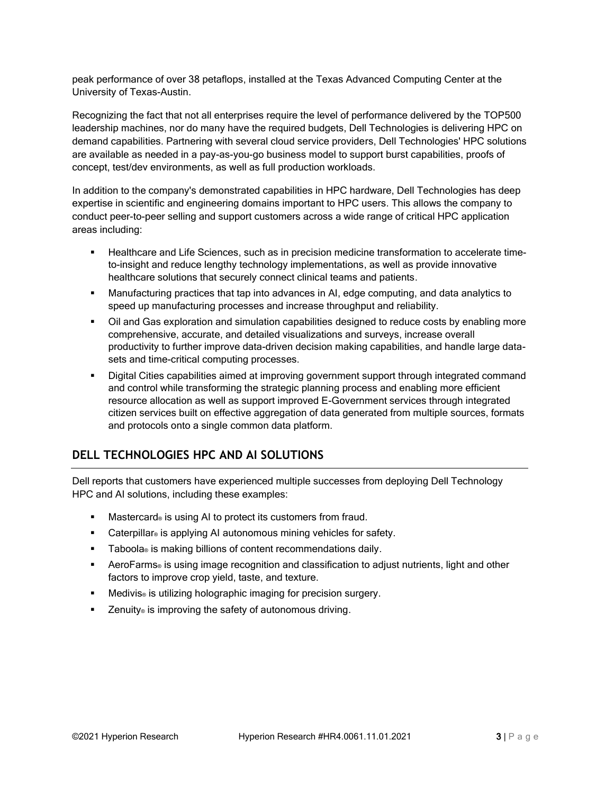peak performance of over 38 petaflops, installed at the Texas Advanced Computing Center at the University of Texas-Austin.

Recognizing the fact that not all enterprises require the level of performance delivered by the TOP500 leadership machines, nor do many have the required budgets, Dell Technologies is delivering HPC on demand capabilities. Partnering with several cloud service providers, Dell Technologies' HPC solutions are available as needed in a pay-as-you-go business model to support burst capabilities, proofs of concept, test/dev environments, as well as full production workloads.

In addition to the company's demonstrated capabilities in HPC hardware, Dell Technologies has deep expertise in scientific and engineering domains important to HPC users. This allows the company to conduct peer-to-peer selling and support customers across a wide range of critical HPC application areas including:

- Healthcare and Life Sciences, such as in precision medicine transformation to accelerate timeto-insight and reduce lengthy technology implementations, as well as provide innovative healthcare solutions that securely connect clinical teams and patients.
- Manufacturing practices that tap into advances in AI, edge computing, and data analytics to speed up manufacturing processes and increase throughput and reliability.
- Oil and Gas exploration and simulation capabilities designed to reduce costs by enabling more comprehensive, accurate, and detailed visualizations and surveys, increase overall productivity to further improve data-driven decision making capabilities, and handle large datasets and time-critical computing processes.
- Digital Cities capabilities aimed at improving government support through integrated command and control while transforming the strategic planning process and enabling more efficient resource allocation as well as support improved E-Government services through integrated citizen services built on effective aggregation of data generated from multiple sources, formats and protocols onto a single common data platform.

#### **DELL TECHNOLOGIES HPC AND AI SOLUTIONS**

Dell reports that customers have experienced multiple successes from deploying Dell Technology HPC and AI solutions, including these examples:

- Mastercard® is using AI to protect its customers from fraud.
- Caterpillar<sup>®</sup> is applying AI autonomous mining vehicles for safety.
- Taboola® is making billions of content recommendations daily.
- AeroFarms® is using image recognition and classification to adjust nutrients, light and other factors to improve crop yield, taste, and texture.
- Medivis<sup>®</sup> is utilizing holographic imaging for precision surgery.
- Zenuity® is improving the safety of autonomous driving.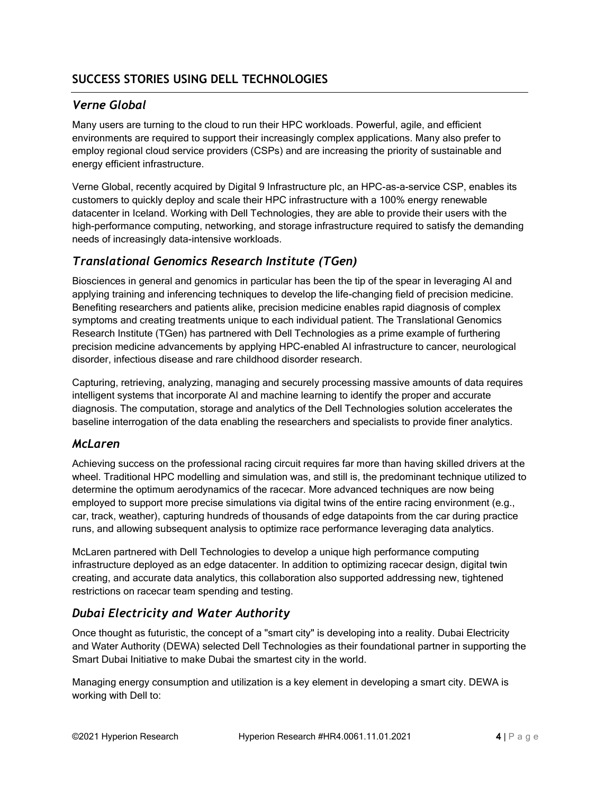## *Verne Global*

Many users are turning to the cloud to run their HPC workloads. Powerful, agile, and efficient environments are required to support their increasingly complex applications. Many also prefer to employ regional cloud service providers (CSPs) and are increasing the priority of sustainable and energy efficient infrastructure.

Verne Global, recently acquired by Digital 9 Infrastructure plc, an HPC-as-a-service CSP, enables its customers to quickly deploy and scale their HPC infrastructure with a 100% energy renewable datacenter in Iceland. Working with Dell Technologies, they are able to provide their users with the high-performance computing, networking, and storage infrastructure required to satisfy the demanding needs of increasingly data-intensive workloads.

# *Translational Genomics Research Institute (TGen)*

Biosciences in general and genomics in particular has been the tip of the spear in leveraging AI and applying training and inferencing techniques to develop the life-changing field of precision medicine. Benefiting researchers and patients alike, precision medicine enables rapid diagnosis of complex symptoms and creating treatments unique to each individual patient. The Translational Genomics Research Institute (TGen) has partnered with Dell Technologies as a prime example of furthering precision medicine advancements by applying HPC-enabled AI infrastructure to cancer, neurological disorder, infectious disease and rare childhood disorder research.

Capturing, retrieving, analyzing, managing and securely processing massive amounts of data requires intelligent systems that incorporate AI and machine learning to identify the proper and accurate diagnosis. The computation, storage and analytics of the Dell Technologies solution accelerates the baseline interrogation of the data enabling the researchers and specialists to provide finer analytics.

## *McLaren*

Achieving success on the professional racing circuit requires far more than having skilled drivers at the wheel. Traditional HPC modelling and simulation was, and still is, the predominant technique utilized to determine the optimum aerodynamics of the racecar. More advanced techniques are now being employed to support more precise simulations via digital twins of the entire racing environment (e.g., car, track, weather), capturing hundreds of thousands of edge datapoints from the car during practice runs, and allowing subsequent analysis to optimize race performance leveraging data analytics.

McLaren partnered with Dell Technologies to develop a unique high performance computing infrastructure deployed as an edge datacenter. In addition to optimizing racecar design, digital twin creating, and accurate data analytics, this collaboration also supported addressing new, tightened restrictions on racecar team spending and testing.

## *Dubai Electricity and Water Authority*

Once thought as futuristic, the concept of a "smart city" is developing into a reality. Dubai Electricity and Water Authority (DEWA) selected Dell Technologies as their foundational partner in supporting the Smart Dubai Initiative to make Dubai the smartest city in the world.

Managing energy consumption and utilization is a key element in developing a smart city. DEWA is working with Dell to: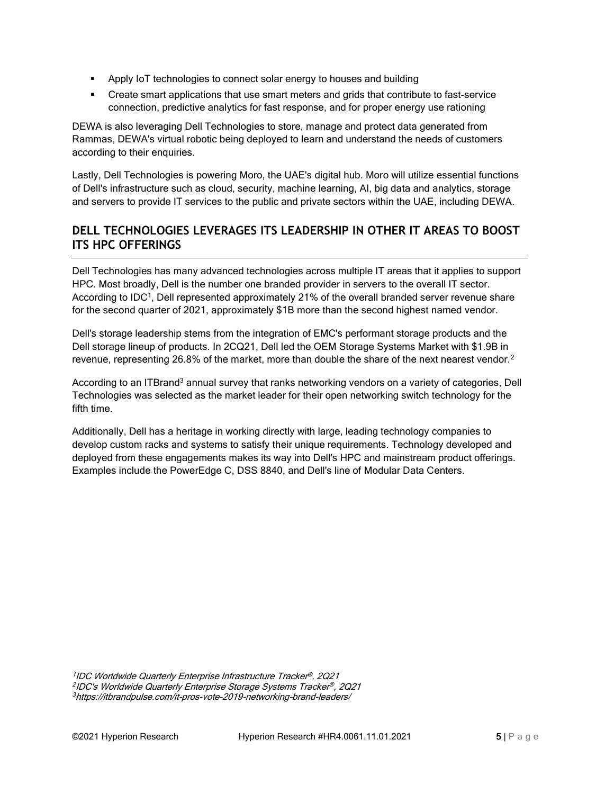- Apply IoT technologies to connect solar energy to houses and building
- **•** Create smart applications that use smart meters and grids that contribute to fast-service connection, predictive analytics for fast response, and for proper energy use rationing

DEWA is also leveraging Dell Technologies to store, manage and protect data generated from Rammas, DEWA's virtual robotic being deployed to learn and understand the needs of customers according to their enquiries.

Lastly, Dell Technologies is powering Moro, the UAE's digital hub. Moro will utilize essential functions of Dell's infrastructure such as cloud, security, machine learning, AI, big data and analytics, storage and servers to provide IT services to the public and private sectors within the UAE, including DEWA.

#### **DELL TECHNOLOGIES LEVERAGES ITS LEADERSHIP IN OTHER IT AREAS TO BOOST ITS HPC OFFERINGS**

Dell Technologies has many advanced technologies across multiple IT areas that it applies to support HPC. Most broadly, Dell is the number one branded provider in servers to the overall IT sector. According to IDC<sup>1</sup>, Dell represented approximately 21% of the overall branded server revenue share for the second quarter of 2021, approximately \$1B more than the second highest named vendor.

Dell's storage leadership stems from the integration of EMC's performant storage products and the Dell storage lineup of products. In 2CQ21, Dell led the OEM Storage Systems Market with \$1.9B in revenue, representing 26.8% of the market, more than double the share of the next nearest vendor.<sup>2</sup>

According to an ITBrand<sup>3</sup> annual survey that ranks networking vendors on a variety of categories, Dell Technologies was selected as the market leader for their open networking switch technology for the fifth time.

Additionally, Dell has a heritage in working directly with large, leading technology companies to develop custom racks and systems to satisfy their unique requirements. Technology developed and deployed from these engagements makes its way into Dell's HPC and mainstream product offerings. Examples include the PowerEdge C, DSS 8840, and Dell's line of Modular Data Centers.

1 IDC Worldwide Quarterly Enterprise Infrastructure Tracker ® , 2Q21 2 IDC's Worldwide Quarterly Enterprise Storage Systems Tracker ® , 2Q21 <sup>3</sup> <https://itbrandpulse.com/it-pros-vote-2019-networking-brand-leaders/>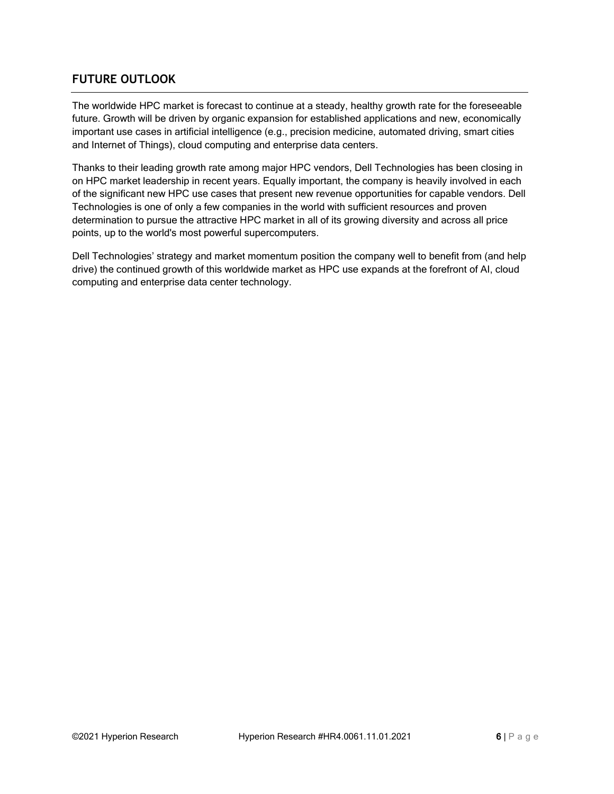#### **FUTURE OUTLOOK**

The worldwide HPC market is forecast to continue at a steady, healthy growth rate for the foreseeable future. Growth will be driven by organic expansion for established applications and new, economically important use cases in artificial intelligence (e.g., precision medicine, automated driving, smart cities and Internet of Things), cloud computing and enterprise data centers.

Thanks to their leading growth rate among major HPC vendors, Dell Technologies has been closing in on HPC market leadership in recent years. Equally important, the company is heavily involved in each of the significant new HPC use cases that present new revenue opportunities for capable vendors. Dell Technologies is one of only a few companies in the world with sufficient resources and proven determination to pursue the attractive HPC market in all of its growing diversity and across all price points, up to the world's most powerful supercomputers.

Dell Technologies' strategy and market momentum position the company well to benefit from (and help drive) the continued growth of this worldwide market as HPC use expands at the forefront of AI, cloud computing and enterprise data center technology.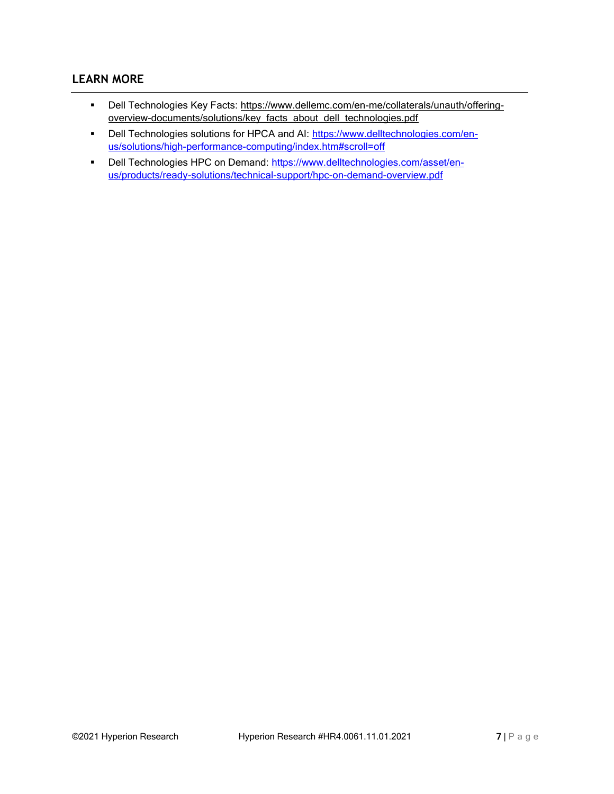#### **LEARN MORE**

- Dell Technologies Key Facts: [https://www.dellemc.com/en-me/collaterals/unauth/offering](https://www.dellemc.com/en-me/collaterals/unauth/offering-overview-documents/solutions/key_facts_about_dell_technologies.pdf)[overview-documents/solutions/key\\_facts\\_about\\_dell\\_technologies.pdf](https://www.dellemc.com/en-me/collaterals/unauth/offering-overview-documents/solutions/key_facts_about_dell_technologies.pdf)
- Dell Technologies solutions for HPCA and AI: [https://www.delltechnologies.com/en](https://www.delltechnologies.com/en-us/solutions/high-performance-computing/index.htm#scroll=off)[us/solutions/high-performance-computing/index.htm#scroll=off](https://www.delltechnologies.com/en-us/solutions/high-performance-computing/index.htm#scroll=off)
- Dell Technologies HPC on Demand: [https://www.delltechnologies.com/asset/en](https://www.delltechnologies.com/asset/en-us/products/ready-solutions/technical-support/hpc-on-demand-overview.pdf)[us/products/ready-solutions/technical-support/hpc-on-demand-overview.pdf](https://www.delltechnologies.com/asset/en-us/products/ready-solutions/technical-support/hpc-on-demand-overview.pdf)